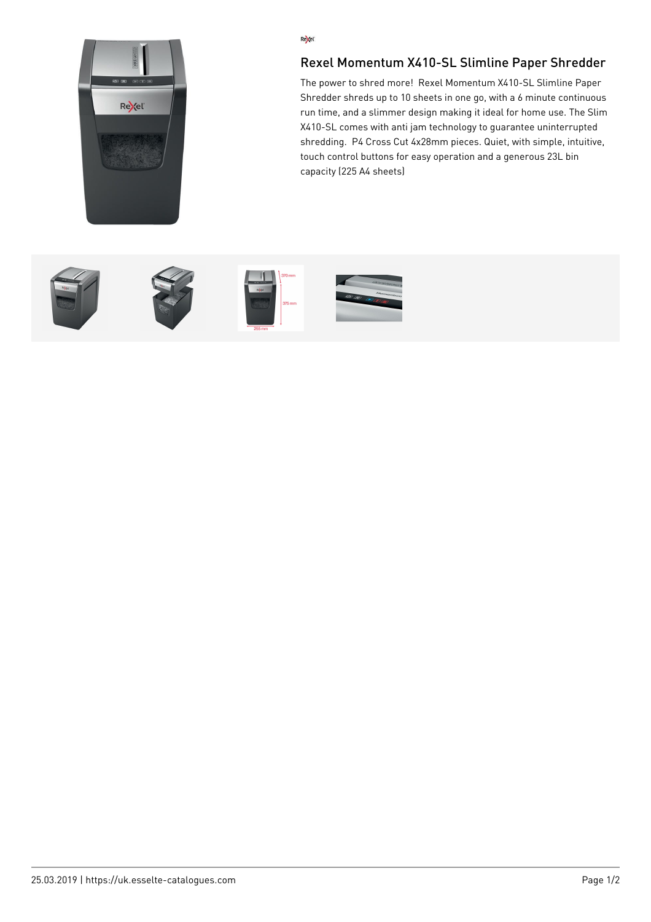

## Re<sub>kel</sub>

## Rexel Momentum X410-SL Slimline Paper Shredder

The power to shred more! Rexel Momentum X410-SL Slimline Paper Shredder shreds up to 10 sheets in one go, with a 6 minute continuous run time, and a slimmer design making it ideal for home use. The Slim X410-SL comes with anti jam technology to guarantee uninterrupted shredding. P4 Cross Cut 4x28mm pieces. Quiet, with simple, intuitive, touch control buttons for easy operation and a generous 23L bin capacity (225 A4 sheets)